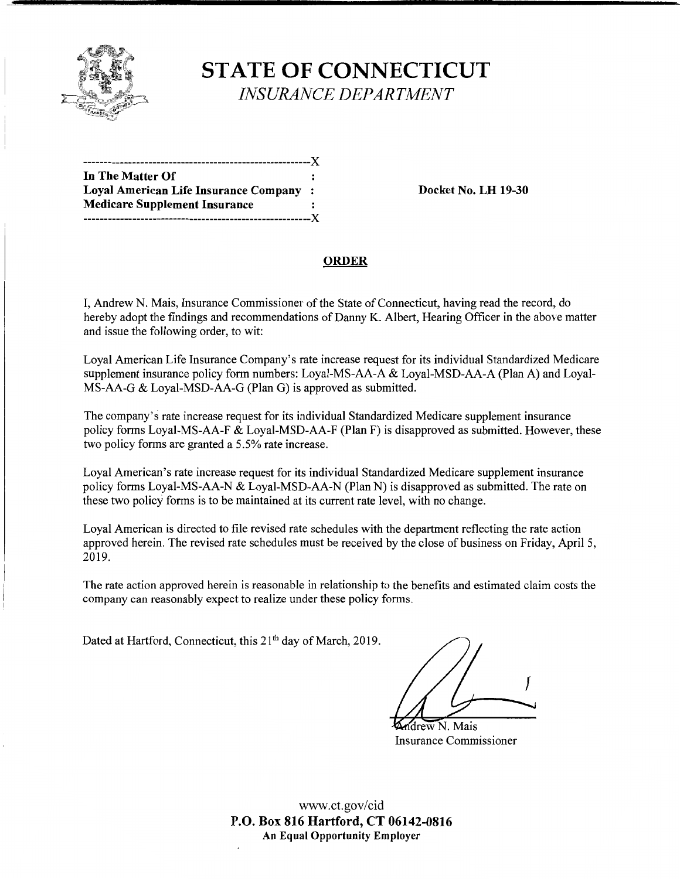

# **STATE OF CONNECTICUT**  *INSURANCE DEPARTMENT*

| In The Matter Of                       |      |
|----------------------------------------|------|
| Loyal American Life Insurance Company: |      |
| <b>Medicare Supplement Insurance</b>   |      |
| ------------------                     | -- X |

**Loyal American Life Insurance Company** : **Docket No. LH 19-30** 

#### **ORDER**

I, Andrew N. Mais, Insurance Commissioner of the State of Connecticut, having read the record, do hereby adopt the findings and recommendations of Danny K. Albert, Hearing Officer in the above matter and issue the following order, to wit:

Loyal American Life Insurance Company's rate increase request for its individual Standardized Medicare supplement insurance policy form numbers: Loyal-MS-AA-A & Loyal-MSD-AA-A (Plan A) and Loyal-MS-AA-G & Loyal-MSD-AA-G (Plan G) is approved as submitted.

The company's rate increase request for its individual Standardized Medicare supplement insurance policy forms Loyal-MS-AA-F & Loyal-MSD-AA-F (Plan F) is disapproved as submitted. However, these two policy forms are granted a 5.5% rate increase.

Loyal American's rate increase request for its individual Standardized Medicare supplement insurance policy forms Loyal-MS-AA-N & Loyal-MSD-AA-N (Plan N) is disapproved as submitted. The rate on these two policy forms is to be maintained at its current rate level, with no change.

Loyal American is directed to file revised rate schedules with the department reflecting the rate action approved herein. The revised rate schedules must be received by the close of business on Friday, April 5, 2019.

The rate action approved herein is reasonable in relationship to the benefits and estimated claim costs the company can reasonably expect to realize under these policy forms.

Dated at Hartford, Connecticut, this 21<sup>th</sup> day of March, 2019.

I

drew N. Mais Insurance Commissioner

www.ct.gov/cid **P.O. Box 816 Hartford, CT 06142-0816 An Equal Opportunity Employer**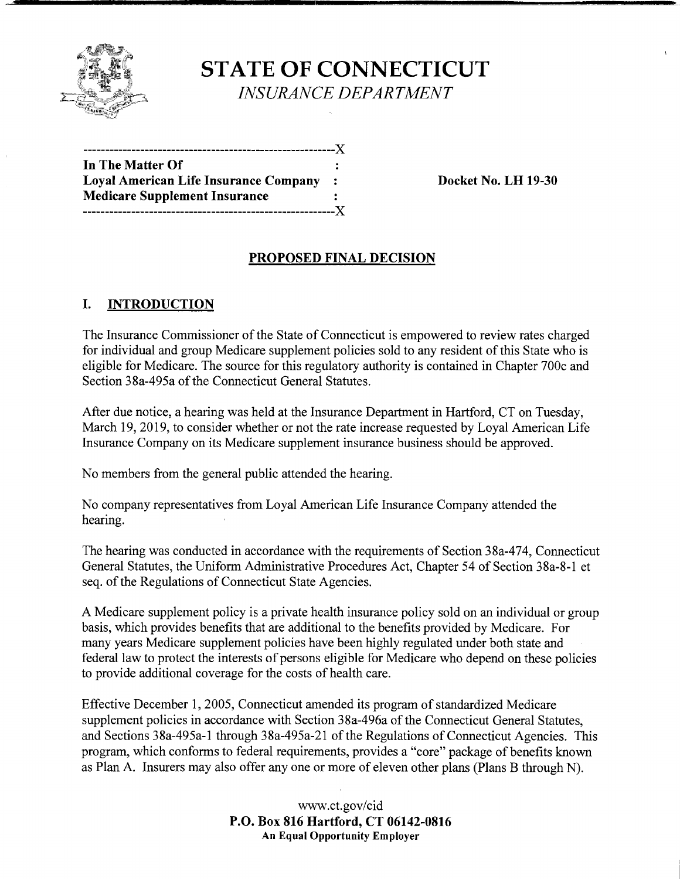

**STATE OF CONNECTICUT**  *INSURANCE DEPARTMENT* 

| In The Matter Of                             |              |
|----------------------------------------------|--------------|
| <b>Loyal American Life Insurance Company</b> | $\mathbf{r}$ |
| <b>Medicare Supplement Insurance</b>         |              |
|                                              |              |

**Loyal American Life Insurance Company** : **Docket No. LH 19-30** 

## **PROPOSED FINAL DECISION**

## **I. INTRODUCTION**

The Insurance Commissioner of the State of Connecticut is empowered to review rates charged for individual and group Medicare supplement policies sold to any resident of this State who is eligible for Medicare. The source for this regulatory authority is contained in Chapter 700c and Section 38a-495a of the Connecticut General Statutes.

After due notice, a hearing was held at the Insurance Department in Hartford, CT on Tuesday, March 19, 2019, to consider whether or not the rate increase requested by Loyal American Life Insurance Company on its Medicare supplement insurance business should be approved.

No members from the general public attended the hearing.

No company representatives from Loyal American Life Insurance Company attended the hearing.

The hearing was conducted in accordance with the requirements of Section 38a-474, Connecticut General Statutes, the Uniform Administrative Procedures Act, Chapter 54 of Section 38a-8-1 et seq. of the Regulations of Connecticut State Agencies.

A Medicare supplement policy is a private health insurance policy sold on an individual or group basis, which provides benefits that are additional to the benefits provided by Medicare. For many years Medicare supplement policies have been highly regulated under both state and federal law to protect the interests of persons eligible for Medicare who depend on these policies to provide additional coverage for the costs of health care.

Effective December 1, 2005, Connecticut amended its program of standardized Medicare supplement policies in accordance with Section 38a-496a of the Connecticut General Statutes, and Sections 38a-495a-1 through 38a-495a-21 of the Regulations of Connecticut Agencies. This program, which conforms to federal requirements, provides a "core" package of benefits known as Plan A. Insurers may also offer any one or more of eleven other plans (Plans B through N).

> www.ct.gov/cid **P.O. Box 816 Hartford, CT 06142-0816 An Equal Opportunity Employer**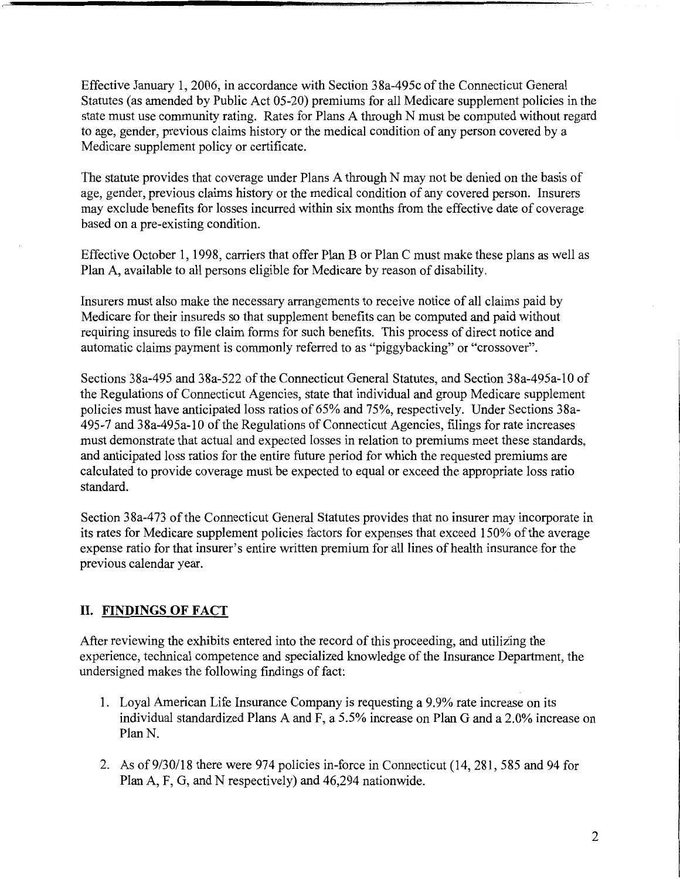Effective January 1, 2006, in accordance with Section 38a-495c of the Connecticut General Statutes (as amended by Public Act 05-20) premiums for all Medicare supplement policies in the state must use community rating. Rates for Plans A through N must be computed without regard to age, gender, previous claims history or the medical condition of any person covered by a Medicare supplement policy or certificate.

The statute provides that coverage under Plans A through N may not be denied on the basis of age, gender, previous claims history or the medical condition of any covered person. Insurers may exclude benefits for losses incurred within six months from the effective date of coverage based on a pre-existing condition.

Effective October 1, 1998, carriers that offer Plan B or Plan C must make these plans as well as Plan A, available to all persons eligible for Medicare by reason of disability.

Insurers must also make the necessary arrangements to receive notice of all claims paid by Medicare for their insureds so that supplement benefits can be computed and paid without requiring insureds to file claim forms for such benefits. This process of direct notice and automatic claims payment is commonly referred to as "piggybacking" or "crossover".

Sections 38a-495 and 38a-522 of the Connecticut General Statutes, and Section 38a-495a-10 of the Regulations of Connecticut Agencies, state that individual and group Medicare supplement policies must have anticipated loss ratios of 65% and 75%, respectively. Under Sections 38a-495-7 and 38a-495a-10 of the Regulations of Connecticut Agencies, filings for rate increases must demonstrate that actual and expected losses in relation to premiums meet these standards, and anticipated loss ratios for the entire future period for which the requested premiums are calculated to provide coverage must be expected to equal or exceed the appropriate loss ratio standard.

Section 38a-473 of the Connecticut General Statutes provides that no insurer may incorporate in its rates for Medicare supplement policies factors for expenses that exceed 150% of the average expense ratio for that insurer's entire written premium for all lines of health insurance for the previous calendar year.

## **II. FINDINGS OF FACT**

After reviewing the exhibits entered into the record of this proceeding, and utilizing the experience, technical competence and specialized knowledge of the Insurance Department, the undersigned makes the following findings of fact:

- 1. Loyal American Life Insurance Company is requesting a 9.9% rate increase on its individual standardized Plans A and F, a 5.5% increase on Plan G and a 2.0% increase on Plan N.
- 2. As of 9/30/18 there were 974 policies in-force in Connecticut (14,281, 585 and 94 for Plan A, F, G, and N respectively) and 46,294 nationwide.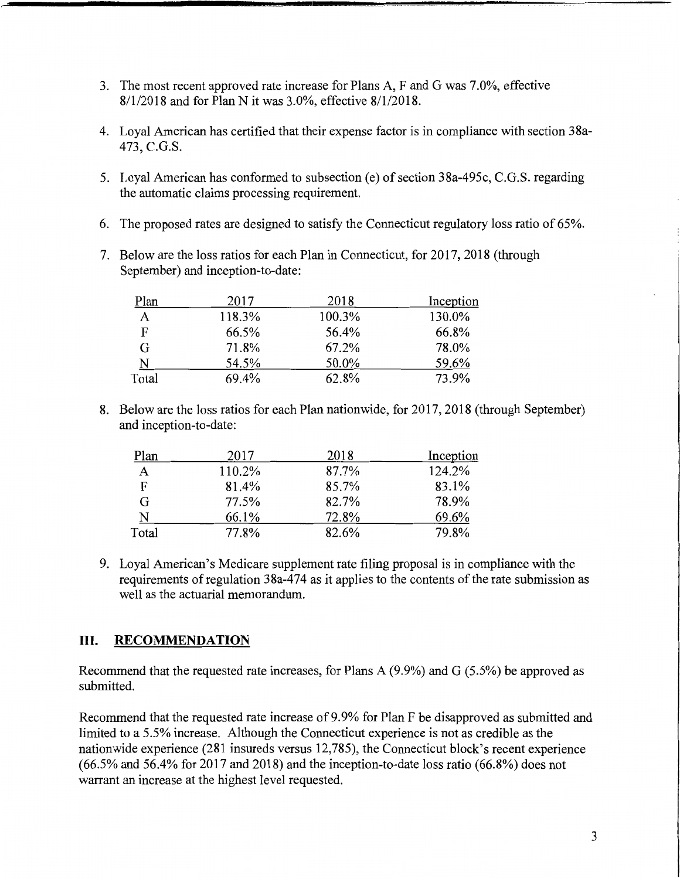- 3. The most recent approved rate increase for Plans A, F and G was 7.0%, effective 8/1/2018 and for Plan Nit was 3.0%, effective 8/1/2018.
- 4. Loyal American has certified that their expense factor is in compliance with section 38a-473, C.G.S.
- 5. Loyal American has conformed to subsection (e) of section 38a-495c, C.G.S. regarding the automatic claims processing requirement.
- 6. The proposed rates are designed to satisfy the Connecticut regulatory loss ratio of 65%.
- 7. Below are the loss ratios for each Plan in Connecticut, for 2017, 2018 (through September) and inception-to-date:

| Plan  | 2017   | 2018   | Inception |
|-------|--------|--------|-----------|
| Α     | 118.3% | 100.3% | 130.0%    |
| F     | 66.5%  | 56.4%  | 66.8%     |
| G     | 71.8%  | 67.2%  | 78.0%     |
| N     | 54.5%  | 50.0%  | 59.6%     |
| Total | 69.4%  | 62.8%  | 73.9%     |

8. Below are the loss ratios for each Plan nationwide, for 2017, 2018 (through September) and inception-to-date:

| Plan  | 2017   | 2018  | Inception |
|-------|--------|-------|-----------|
| A     | 110.2% | 87.7% | 124.2%    |
| F     | 81.4%  | 85.7% | 83.1%     |
| G     | 77.5%  | 82.7% | 78.9%     |
| N     | 66.1%  | 72.8% | 69.6%     |
| Total | 77.8%  | 82.6% | 79.8%     |

9. Loyal American's Medicare supplement rate filing proposal is in compliance with the requirements of regulation 38a-474 as it applies to the contents of the rate submission as well as the actuarial memorandum.

## III. **RECOMMENDATION**

Recommend that the requested rate increases, for Plans A (9.9%) and G (5.5%) be approved as submitted.

Recommend that the requested rate increase of 9.9% for Plan F be disapproved as submitted and limited to a 5.5% increase. Although the Connecticut experience is not as credible as the nationwide experience (281 insureds versus 12,785), the Connecticut block's recent experience  $(66.5\%$  and  $56.4\%$  for 2017 and 2018) and the inception-to-date loss ratio  $(66.8\%)$  does not warrant an increase at the highest level requested.